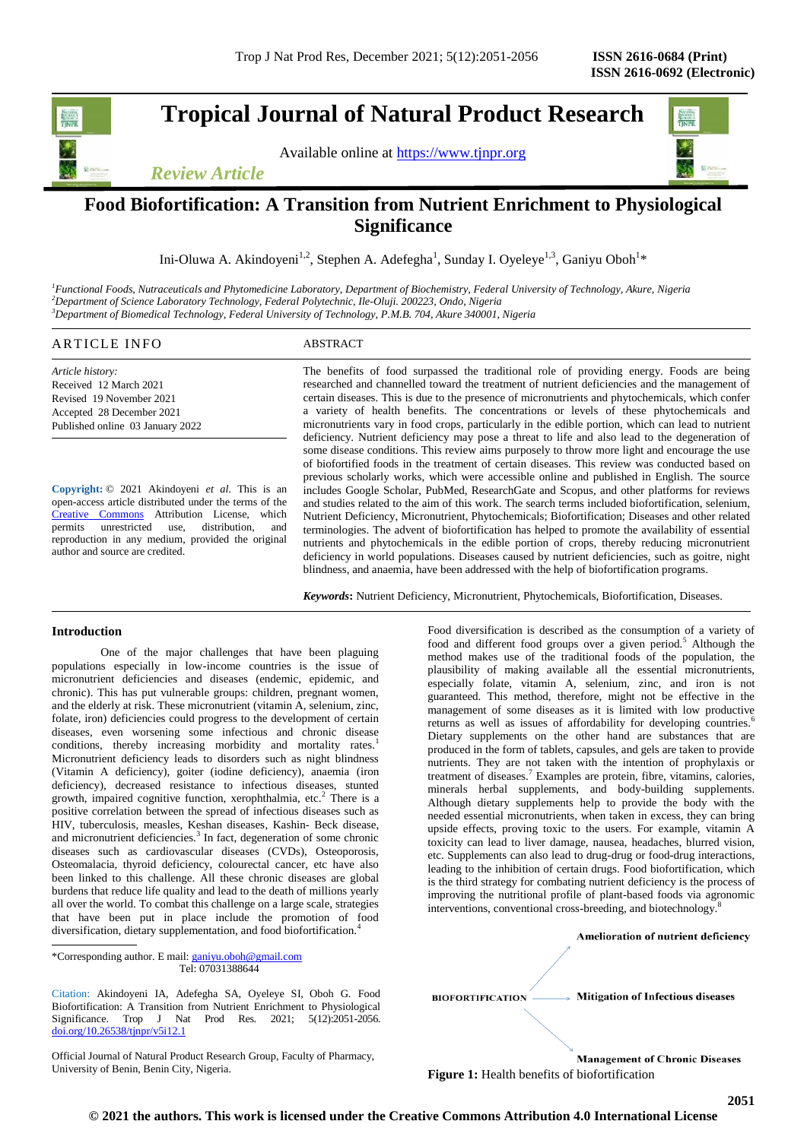**Tropical Journal of Natural Product Research**

Available online at [https://www.tjnpr.org](about:blank)



# *Review Article*

# **Food Biofortification: A Transition from Nutrient Enrichment to Physiological Significance**

Ini-Oluwa A. Akindoyeni<sup>1,2</sup>, Stephen A. Adefegha<sup>1</sup>, Sunday I. Oyeleye<sup>1,3</sup>, Ganiyu Oboh<sup>1</sup>\*

*<sup>1</sup>Functional Foods, Nutraceuticals and Phytomedicine Laboratory, Department of Biochemistry, Federal University of Technology, Akure, Nigeria <sup>2</sup>Department of Science Laboratory Technology, Federal Polytechnic, Ile-Oluji. 200223, Ondo, Nigeria <sup>3</sup>Department of Biomedical Technology, Federal University of Technology, P.M.B. 704, Akure 340001, Nigeria*

# ARTICLE INFO ABSTRACT

*Article history:* Received 12 March 2021 Revised 19 November 2021 Accepted 28 December 2021 Published online 03 January 2022

**Copyright:** © 2021 Akindoyeni *et al*. This is an open-access article distributed under the terms of the [Creative Commons](about:blank) Attribution License, which permits unrestricted use, distribution, and reproduction in any medium, provided the original author and source are credited.

The benefits of food surpassed the traditional role of providing energy. Foods are being researched and channelled toward the treatment of nutrient deficiencies and the management of certain diseases. This is due to the presence of micronutrients and phytochemicals, which confer a variety of health benefits. The concentrations or levels of these phytochemicals and micronutrients vary in food crops, particularly in the edible portion, which can lead to nutrient deficiency. Nutrient deficiency may pose a threat to life and also lead to the degeneration of some disease conditions. This review aims purposely to throw more light and encourage the use of biofortified foods in the treatment of certain diseases. This review was conducted based on previous scholarly works, which were accessible online and published in English. The source includes Google Scholar, PubMed, ResearchGate and Scopus, and other platforms for reviews and studies related to the aim of this work. The search terms included biofortification, selenium, Nutrient Deficiency, Micronutrient, Phytochemicals; Biofortification; Diseases and other related terminologies. The advent of biofortification has helped to promote the availability of essential nutrients and phytochemicals in the edible portion of crops, thereby reducing micronutrient deficiency in world populations. Diseases caused by nutrient deficiencies, such as goitre, night blindness, and anaemia, have been addressed with the help of biofortification programs.

*Keywords***:** Nutrient Deficiency, Micronutrient, Phytochemicals, Biofortification, Diseases.

## **Introduction**

One of the major challenges that have been plaguing populations especially in low-income countries is the issue of micronutrient deficiencies and diseases (endemic, epidemic, and chronic). This has put vulnerable groups: children, pregnant women, and the elderly at risk. These micronutrient (vitamin A, selenium, zinc, folate, iron) deficiencies could progress to the development of certain diseases, even worsening some infectious and chronic disease conditions, thereby increasing morbidity and mortality rates.<sup>1</sup> Micronutrient deficiency leads to disorders such as night blindness (Vitamin A deficiency), goiter (iodine deficiency), anaemia (iron deficiency), decreased resistance to infectious diseases, stunted growth, impaired cognitive function, xerophthalmia, etc.<sup>2</sup> There is a positive correlation between the spread of infectious diseases such as HIV, tuberculosis, measles, Keshan diseases, Kashin- Beck disease, and micronutrient deficiencies.<sup>3</sup> In fact, degeneration of some chronic diseases such as cardiovascular diseases (CVDs), Osteoporosis, Osteomalacia, thyroid deficiency, colourectal cancer, etc have also been linked to this challenge. All these chronic diseases are global burdens that reduce life quality and lead to the death of millions yearly all over the world. To combat this challenge on a large scale, strategies that have been put in place include the promotion of food diversification, dietary supplementation, and food biofortification.<sup>4</sup>

\*Corresponding author. E mail: ganiyu.oboh@gmail.com Tel: 07031388644

Citation: Akindoyeni IA, Adefegha SA, Oyeleye SI, Oboh G. Food Biofortification: A Transition from Nutrient Enrichment to Physiological Significance. Trop J Nat Prod Res. 2021; 5(12):2051-2056. [doi.org/10.26538/tjnpr/v5i12.1](http://www.doi.org/10.26538/tjnpr/v1i4.5)

Official Journal of Natural Product Research Group, Faculty of Pharmacy, University of Benin, Benin City, Nigeria.

Food diversification is described as the consumption of a variety of food and different food groups over a given period.<sup>5</sup> Although the method makes use of the traditional foods of the population, the plausibility of making available all the essential micronutrients, especially folate, vitamin A, selenium, zinc, and iron is not guaranteed. This method, therefore, might not be effective in the management of some diseases as it is limited with low productive returns as well as issues of affordability for developing countries.<sup>6</sup> Dietary supplements on the other hand are substances that are produced in the form of tablets, capsules, and gels are taken to provide nutrients. They are not taken with the intention of prophylaxis or treatment of diseases.<sup>7</sup> Examples are protein, fibre, vitamins, calories, minerals herbal supplements, and body-building supplements. Although dietary supplements help to provide the body with the needed essential micronutrients, when taken in excess, they can bring upside effects, proving toxic to the users. For example, vitamin A toxicity can lead to liver damage, nausea, headaches, blurred vision, etc. Supplements can also lead to drug-drug or food-drug interactions, leading to the inhibition of certain drugs. Food biofortification, which is the third strategy for combating nutrient deficiency is the process of improving the nutritional profile of plant-based foods via agronomic interventions, conventional cross-breeding, and biotechnology.<sup>8</sup>

Amelioration of nutrient deficiency

**BIOFORTIFICATION** 

**Mitigation of Infectious diseases** 

**Management of Chronic Diseases Figure 1:** Health benefits of biofortification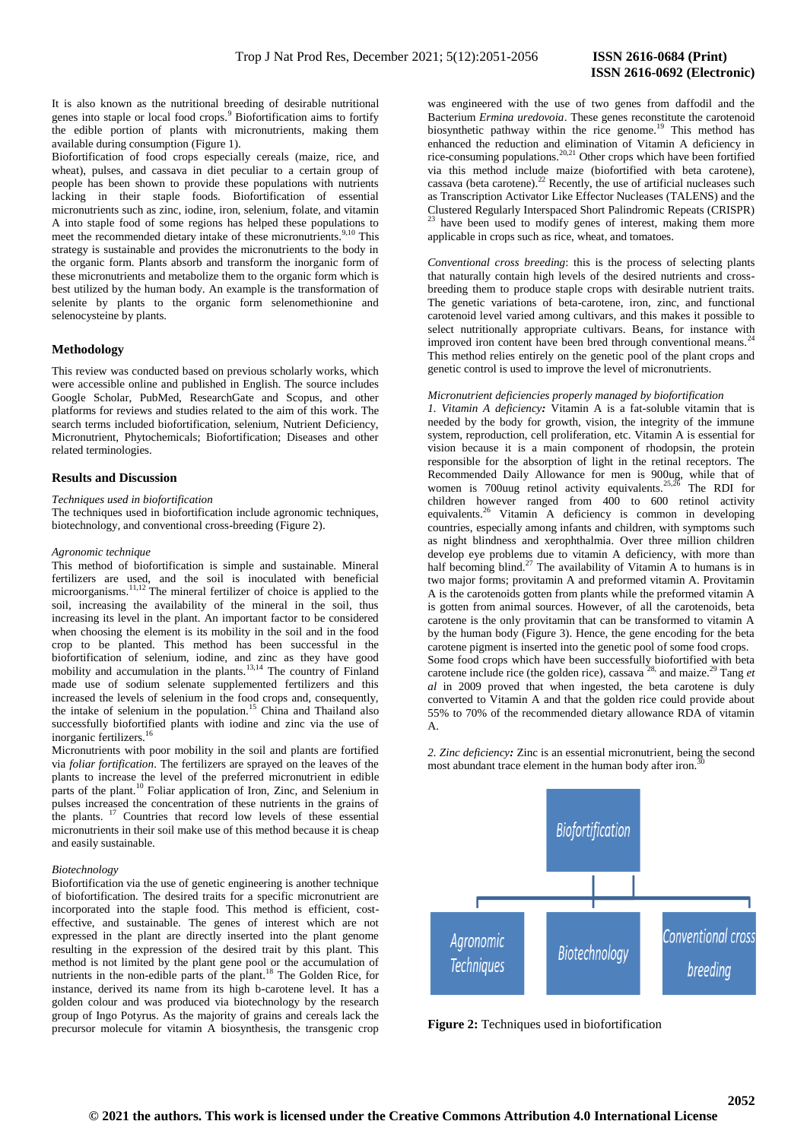It is also known as the nutritional breeding of desirable nutritional genes into staple or local food crops.<sup>9</sup> Biofortification aims to fortify the edible portion of plants with micronutrients, making them available during consumption (Figure 1).

Biofortification of food crops especially cereals (maize, rice, and wheat), pulses, and cassava in diet peculiar to a certain group of people has been shown to provide these populations with nutrients lacking in their staple foods. Biofortification of essential micronutrients such as zinc, iodine, iron, selenium, folate, and vitamin A into staple food of some regions has helped these populations to meet the recommended dietary intake of these micronutrients.<sup>9,10</sup> This strategy is sustainable and provides the micronutrients to the body in the organic form. Plants absorb and transform the inorganic form of these micronutrients and metabolize them to the organic form which is best utilized by the human body. An example is the transformation of selenite by plants to the organic form selenomethionine and selenocysteine by plants.

# **Methodology**

This review was conducted based on previous scholarly works, which were accessible online and published in English. The source includes Google Scholar, PubMed, ResearchGate and Scopus, and other platforms for reviews and studies related to the aim of this work. The search terms included biofortification, selenium, Nutrient Deficiency, Micronutrient, Phytochemicals; Biofortification; Diseases and other related terminologies.

# **Results and Discussion**

#### *Techniques used in biofortification*

The techniques used in biofortification include agronomic techniques, biotechnology, and conventional cross-breeding (Figure 2).

#### *Agronomic technique*

This method of biofortification is simple and sustainable. Mineral fertilizers are used, and the soil is inoculated with beneficial microorganisms.<sup>11,12</sup> The mineral fertilizer of choice is applied to the soil, increasing the availability of the mineral in the soil, thus increasing its level in the plant. An important factor to be considered when choosing the element is its mobility in the soil and in the food crop to be planted. This method has been successful in the biofortification of selenium, iodine, and zinc as they have good mobility and accumulation in the plants.<sup>13,14</sup> The country of Finland made use of sodium selenate supplemented fertilizers and this increased the levels of selenium in the food crops and, consequently, the intake of selenium in the population.<sup>15</sup> China and Thailand also successfully biofortified plants with iodine and zinc via the use of inorganic fertilizers. $16$ 

Micronutrients with poor mobility in the soil and plants are fortified via *foliar fortification*. The fertilizers are sprayed on the leaves of the plants to increase the level of the preferred micronutrient in edible parts of the plant.<sup>10</sup> Foliar application of Iron, Zinc, and Selenium in pulses increased the concentration of these nutrients in the grains of the plants. <sup>17</sup> Countries that record low levels of these essential micronutrients in their soil make use of this method because it is cheap and easily sustainable.

## *Biotechnology*

Biofortification via the use of genetic engineering is another technique of biofortification. The desired traits for a specific micronutrient are incorporated into the staple food. This method is efficient, costeffective, and sustainable. The genes of interest which are not expressed in the plant are directly inserted into the plant genome resulting in the expression of the desired trait by this plant. This method is not limited by the plant gene pool or the accumulation of nutrients in the non-edible parts of the plant.<sup>18</sup> The Golden Rice, for instance, derived its name from its high b-carotene level. It has a golden colour and was produced via biotechnology by the research group of Ingo Potyrus. As the majority of grains and cereals lack the precursor molecule for vitamin A biosynthesis, the transgenic crop

was engineered with the use of two genes from daffodil and the Bacterium *Ermina uredovoia*. These genes reconstitute the carotenoid biosynthetic pathway within the rice genome.<sup>19</sup> This method has enhanced the reduction and elimination of Vitamin A deficiency in rice-consuming populations.<sup>20,21</sup> Other crops which have been fortified via this method include maize (biofortified with beta carotene), cassava (beta carotene). $^{22}$  Recently, the use of artificial nucleases such as Transcription Activator Like Effector Nucleases (TALENS) and the Clustered Regularly Interspaced Short Palindromic Repeats (CRISPR) have been used to modify genes of interest, making them more applicable in crops such as rice, wheat, and tomatoes.

*Conventional cross breeding*: this is the process of selecting plants that naturally contain high levels of the desired nutrients and crossbreeding them to produce staple crops with desirable nutrient traits. The genetic variations of beta-carotene, iron, zinc, and functional carotenoid level varied among cultivars, and this makes it possible to select nutritionally appropriate cultivars. Beans, for instance with improved iron content have been bred through conventional means.<sup>2</sup> This method relies entirely on the genetic pool of the plant crops and genetic control is used to improve the level of micronutrients.

#### *Micronutrient deficiencies properly managed by biofortification*

*1. Vitamin A deficiency:* Vitamin A is a fat-soluble vitamin that is needed by the body for growth, vision, the integrity of the immune system, reproduction, cell proliferation, etc. Vitamin A is essential for vision because it is a main component of rhodopsin, the protein responsible for the absorption of light in the retinal receptors. The Recommended Daily Allowance for men is 900ug, while that of women is 700uug retinol activity equivalents.<sup>25,26</sup> The RDI for children however ranged from 400 to 600 retinol activity equivalents.<sup>26</sup> Vitamin A deficiency is common in developing countries, especially among infants and children, with symptoms such as night blindness and xerophthalmia. Over three million children develop eye problems due to vitamin A deficiency, with more than half becoming blind.<sup>27</sup> The availability of Vitamin A to humans is in two major forms; provitamin A and preformed vitamin A. Provitamin A is the carotenoids gotten from plants while the preformed vitamin A is gotten from animal sources. However, of all the carotenoids, beta carotene is the only provitamin that can be transformed to vitamin A by the human body (Figure 3). Hence, the gene encoding for the beta carotene pigment is inserted into the genetic pool of some food crops. Some food crops which have been successfully biofortified with beta carotene include rice (the golden rice), cassava 28, and maize.<sup>29</sup> Tang *et al* in 2009 proved that when ingested, the beta carotene is duly converted to Vitamin A and that the golden rice could provide about 55% to 70% of the recommended dietary allowance RDA of vitamin A.

*2. Zinc deficiency:* Zinc is an essential micronutrient, being the second most abundant trace element in the human body after iron.



**Figure 2:** Techniques used in biofortification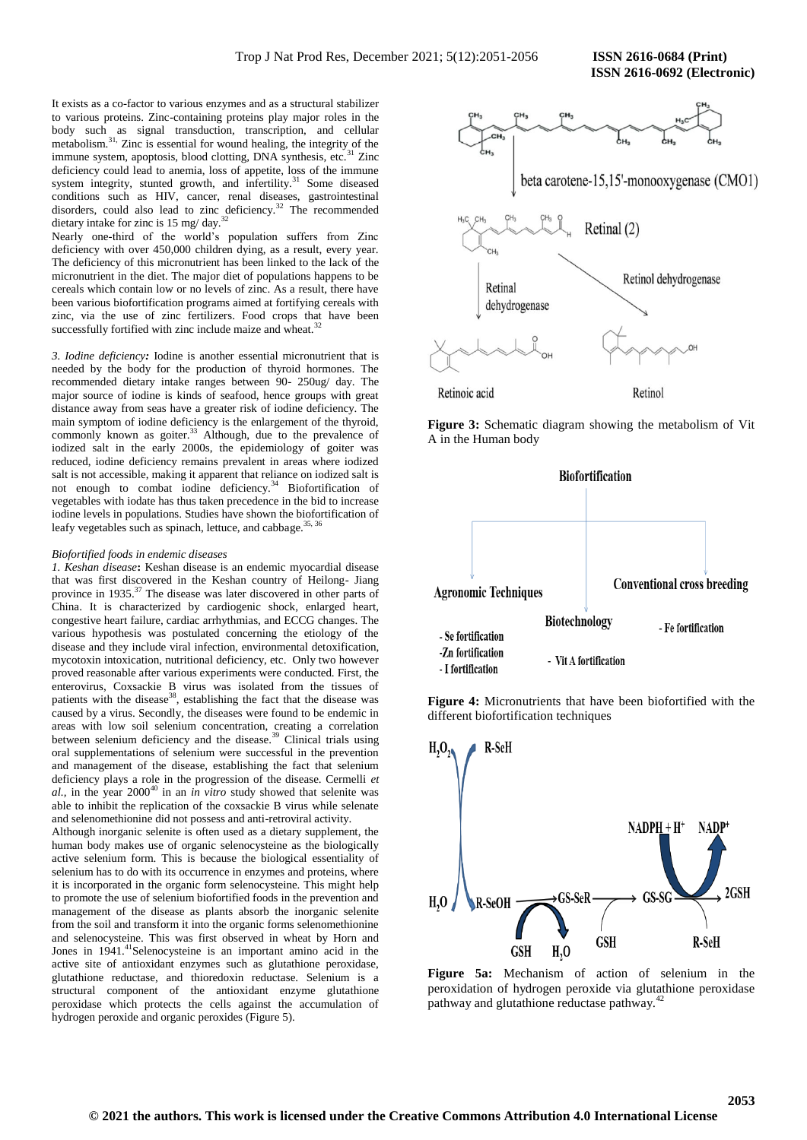**ISSN 2616-0692 (Electronic)** 

It exists as a co-factor to various enzymes and as a structural stabilizer to various proteins. Zinc-containing proteins play major roles in the body such as signal transduction, transcription, and cellular metabolism.<sup>31,</sup> Zinc is essential for wound healing, the integrity of the immune system, apoptosis, blood clotting, DNA synthesis, etc.<sup>31</sup> Zinc deficiency could lead to anemia, loss of appetite, loss of the immune system integrity, stunted growth, and infertility.<sup>31</sup> Some diseased conditions such as HIV, cancer, renal diseases, gastrointestinal disorders, could also lead to zinc deficiency.<sup>32</sup> The recommended dietary intake for zinc is 15 mg/ day.<sup>3</sup>

Nearly one-third of the world's population suffers from Zinc deficiency with over 450,000 children dying, as a result, every year. The deficiency of this micronutrient has been linked to the lack of the micronutrient in the diet. The major diet of populations happens to be cereals which contain low or no levels of zinc. As a result, there have been various biofortification programs aimed at fortifying cereals with zinc, via the use of zinc fertilizers. Food crops that have been successfully fortified with zinc include maize and wheat.<sup>3</sup>

*3. Iodine deficiency:* Iodine is another essential micronutrient that is needed by the body for the production of thyroid hormones. The recommended dietary intake ranges between 90- 250ug/ day. The major source of iodine is kinds of seafood, hence groups with great distance away from seas have a greater risk of iodine deficiency. The main symptom of iodine deficiency is the enlargement of the thyroid, commonly known as goiter.<sup>33</sup> Although, due to the prevalence of iodized salt in the early 2000s, the epidemiology of goiter was reduced, iodine deficiency remains prevalent in areas where iodized salt is not accessible, making it apparent that reliance on iodized salt is not enough to combat iodine deficiency.<sup>34</sup> Biofortification of vegetables with iodate has thus taken precedence in the bid to increase iodine levels in populations. Studies have shown the biofortification of leafy vegetables such as spinach, lettuce, and cabbage.<sup>35, 36</sup>

#### *Biofortified foods in endemic diseases*

*1. Keshan disease***:** Keshan disease is an endemic myocardial disease that was first discovered in the Keshan country of Heilong- Jiang province in 1935.<sup>37</sup> The disease was later discovered in other parts of China. It is characterized by cardiogenic shock, enlarged heart, congestive heart failure, cardiac arrhythmias, and ECCG changes. The various hypothesis was postulated concerning the etiology of the disease and they include viral infection, environmental detoxification, mycotoxin intoxication, nutritional deficiency, etc. Only two however proved reasonable after various experiments were conducted. First, the enterovirus, Coxsackie B virus was isolated from the tissues of patients with the disease<sup>38</sup>, establishing the fact that the disease was caused by a virus. Secondly, the diseases were found to be endemic in areas with low soil selenium concentration, creating a correlation between selenium deficiency and the disease.<sup>39</sup> Clinical trials using oral supplementations of selenium were successful in the prevention and management of the disease, establishing the fact that selenium deficiency plays a role in the progression of the disease. Cermelli *et al.,* in the year 2000<sup>40</sup> in an *in vitro* study showed that selenite was able to inhibit the replication of the coxsackie B virus while selenate and selenomethionine did not possess and anti-retroviral activity.

Although inorganic selenite is often used as a dietary supplement, the human body makes use of organic selenocysteine as the biologically active selenium form. This is because the biological essentiality of selenium has to do with its occurrence in enzymes and proteins, where it is incorporated in the organic form selenocysteine. This might help to promote the use of selenium biofortified foods in the prevention and management of the disease as plants absorb the inorganic selenite from the soil and transform it into the organic forms selenomethionine and selenocysteine. This was first observed in wheat by Horn and Jones in 1941.<sup>41</sup>Selenocysteine is an important amino acid in the active site of antioxidant enzymes such as glutathione peroxidase, glutathione reductase, and thioredoxin reductase. Selenium is a structural component of the antioxidant enzyme glutathione peroxidase which protects the cells against the accumulation of hydrogen peroxide and organic peroxides (Figure 5).



**Figure 3:** Schematic diagram showing the metabolism of Vit A in the Human body



**Figure 4:** Micronutrients that have been biofortified with the different biofortification techniques



**Figure 5a:** Mechanism of action of selenium in the peroxidation of hydrogen peroxide via glutathione peroxidase pathway and glutathione reductase pathway.<sup>4</sup>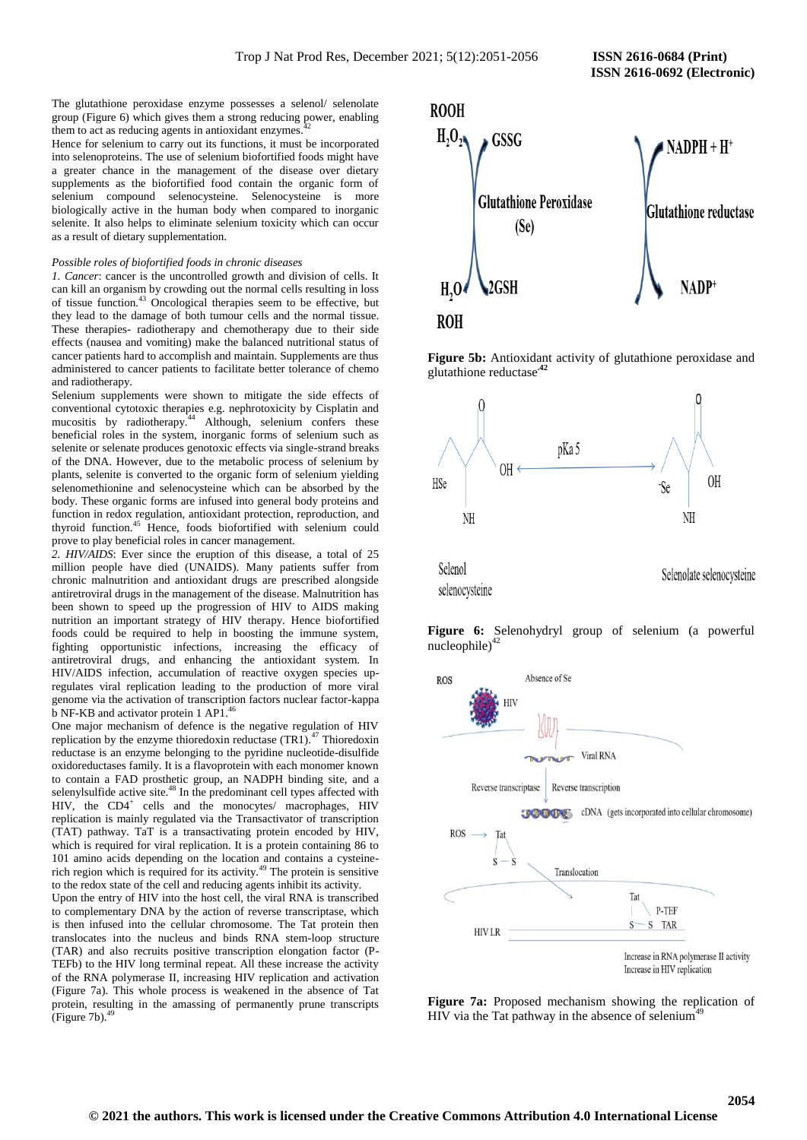The glutathione peroxidase enzyme possesses a selenol/ selenolate group (Figure 6) which gives them a strong reducing power, enabling them to act as reducing agents in antioxidant enzymes.

Hence for selenium to carry out its functions, it must be incorporated into selenoproteins. The use of selenium biofortified foods might have a greater chance in the management of the disease over dietary supplements as the biofortified food contain the organic form of selenium compound selenocysteine. Selenocysteine is more biologically active in the human body when compared to inorganic selenite. It also helps to eliminate selenium toxicity which can occur as a result of dietary supplementation.

#### *Possible roles of biofortified foods in chronic diseases*

*1. Cancer*: cancer is the uncontrolled growth and division of cells. It can kill an organism by crowding out the normal cells resulting in loss of tissue function.<sup>43</sup> Oncological therapies seem to be effective, but they lead to the damage of both tumour cells and the normal tissue. These therapies- radiotherapy and chemotherapy due to their side effects (nausea and vomiting) make the balanced nutritional status of cancer patients hard to accomplish and maintain. Supplements are thus administered to cancer patients to facilitate better tolerance of chemo and radiotherapy.

Selenium supplements were shown to mitigate the side effects of conventional cytotoxic therapies e.g. nephrotoxicity by Cisplatin and mucositis by radiotherapy.<sup>44</sup> Although, selenium confers these beneficial roles in the system, inorganic forms of selenium such as selenite or selenate produces genotoxic effects via single-strand breaks of the DNA. However, due to the metabolic process of selenium by plants, selenite is converted to the organic form of selenium yielding selenomethionine and selenocysteine which can be absorbed by the body. These organic forms are infused into general body proteins and function in redox regulation, antioxidant protection, reproduction, and thyroid function.<sup>45</sup> Hence, foods biofortified with selenium could prove to play beneficial roles in cancer management.

*2. HIV/AIDS*: Ever since the eruption of this disease, a total of 25 million people have died (UNAIDS). Many patients suffer from chronic malnutrition and antioxidant drugs are prescribed alongside antiretroviral drugs in the management of the disease. Malnutrition has been shown to speed up the progression of HIV to AIDS making nutrition an important strategy of HIV therapy. Hence biofortified foods could be required to help in boosting the immune system, fighting opportunistic infections, increasing the efficacy of antiretroviral drugs, and enhancing the antioxidant system. In HIV/AIDS infection, accumulation of reactive oxygen species upregulates viral replication leading to the production of more viral genome via the activation of transcription factors nuclear factor-kappa b NF-KB and activator protein 1 AP1.<sup>46</sup>

One major mechanism of defence is the negative regulation of HIV replication by the enzyme thioredoxin reductase  $(TR1)$ .<sup>47</sup> Thioredoxin reductase is an enzyme belonging to the pyridine nucleotide-disulfide oxidoreductases family. It is a flavoprotein with each monomer known to contain a FAD prosthetic group, an NADPH binding site, and a selenylsulfide active site.<sup>48</sup> In the predominant cell types affected with HIV, the CD4<sup>+</sup> cells and the monocytes/ macrophages, HIV replication is mainly regulated via the Transactivator of transcription (TAT) pathway. TaT is a transactivating protein encoded by HIV, which is required for viral replication. It is a protein containing 86 to 101 amino acids depending on the location and contains a cysteinerich region which is required for its activity.<sup>49</sup> The protein is sensitive to the redox state of the cell and reducing agents inhibit its activity.

Upon the entry of HIV into the host cell, the viral RNA is transcribed to complementary DNA by the action of reverse transcriptase, which is then infused into the cellular chromosome. The Tat protein then translocates into the nucleus and binds RNA stem-loop structure (TAR) and also recruits positive transcription elongation factor (P-TEFb) to the HIV long terminal repeat. All these increase the activity of the RNA polymerase II, increasing HIV replication and activation (Figure 7a). This whole process is weakened in the absence of Tat protein, resulting in the amassing of permanently prune transcripts (Figure 7b). $49$ 



**Figure 5b:** Antioxidant activity of glutathione peroxidase and glutathione reductase**.42**



**Figure 6:** Selenohydryl group of selenium (a powerful nucleophile)<sup>42</sup>



**Figure 7a:** Proposed mechanism showing the replication of HIV via the Tat pathway in the absence of selenium<sup>49</sup>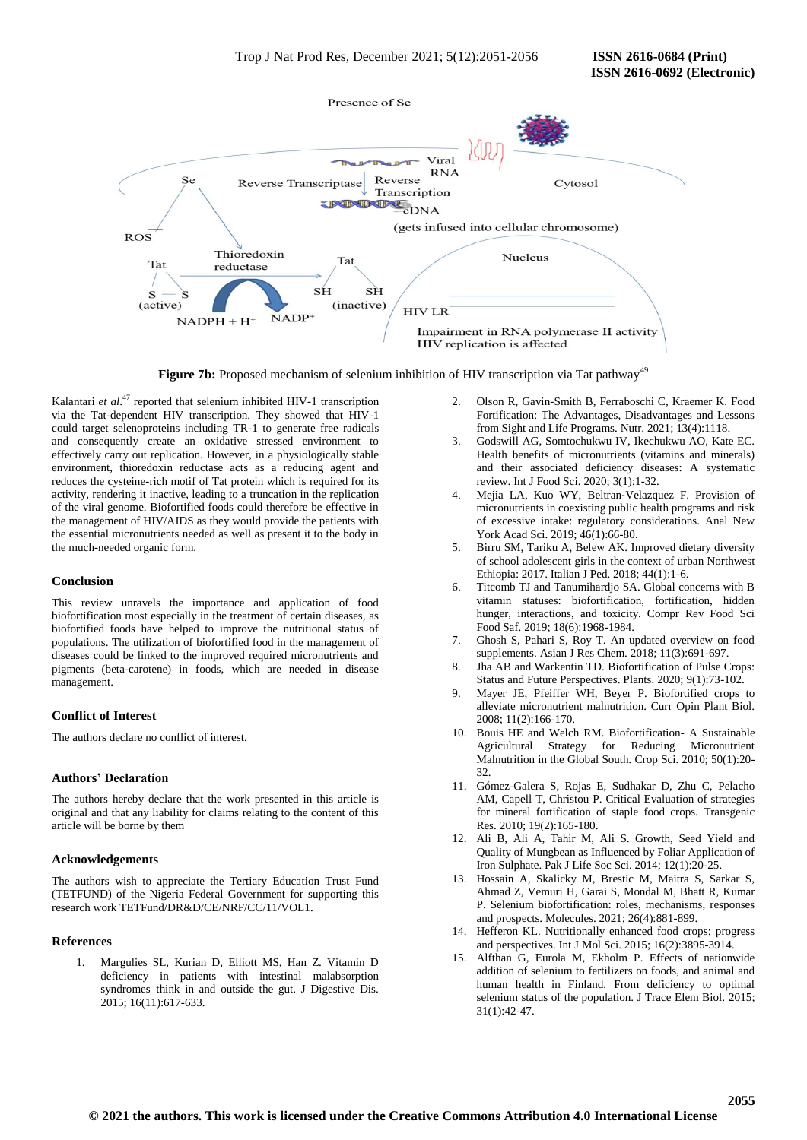

Figure 7b: Proposed mechanism of selenium inhibition of HIV transcription via Tat pathway<sup>49</sup>

Kalantari *et al.*<sup>47</sup> reported that selenium inhibited HIV-1 transcription via the Tat-dependent HIV transcription. They showed that HIV-1 could target selenoproteins including TR-1 to generate free radicals and consequently create an oxidative stressed environment to effectively carry out replication. However, in a physiologically stable environment, thioredoxin reductase acts as a reducing agent and reduces the cysteine-rich motif of Tat protein which is required for its activity, rendering it inactive, leading to a truncation in the replication of the viral genome. Biofortified foods could therefore be effective in the management of HIV/AIDS as they would provide the patients with the essential micronutrients needed as well as present it to the body in the much-needed organic form.

## **Conclusion**

This review unravels the importance and application of food biofortification most especially in the treatment of certain diseases, as biofortified foods have helped to improve the nutritional status of populations. The utilization of biofortified food in the management of diseases could be linked to the improved required micronutrients and pigments (beta-carotene) in foods, which are needed in disease management.

## **Conflict of Interest**

The authors declare no conflict of interest.

## **Authors' Declaration**

The authors hereby declare that the work presented in this article is original and that any liability for claims relating to the content of this article will be borne by them

#### **Acknowledgements**

The authors wish to appreciate the Tertiary Education Trust Fund (TETFUND) of the Nigeria Federal Government for supporting this research work TETFund/DR&D/CE/NRF/CC/11/VOL1.

#### **References**

1. Margulies SL, Kurian D, Elliott MS, Han Z. Vitamin D deficiency in patients with intestinal malabsorption syndromes–think in and outside the gut. J Digestive Dis. 2015; 16(11):617-633.

- 2. Olson R, Gavin-Smith B, Ferraboschi C, Kraemer K. Food Fortification: The Advantages, Disadvantages and Lessons from Sight and Life Programs. Nutr. 2021; 13(4):1118.
- 3. Godswill AG, Somtochukwu IV, Ikechukwu AO, Kate EC. Health benefits of micronutrients (vitamins and minerals) and their associated deficiency diseases: A systematic review. Int J Food Sci. 2020; 3(1):1-32.
- 4. Mejia LA, Kuo WY, Beltran‐Velazquez F. Provision of micronutrients in coexisting public health programs and risk of excessive intake: regulatory considerations. Anal New York Acad Sci. 2019; 46(1):66-80.
- 5. Birru SM, Tariku A, Belew AK. Improved dietary diversity of school adolescent girls in the context of urban Northwest Ethiopia: 2017. Italian J Ped. 2018; 44(1):1-6.
- 6. Titcomb TJ and Tanumihardjo SA. Global concerns with B vitamin statuses: biofortification, fortification, hidden hunger, interactions, and toxicity. Compr Rev Food Sci Food Saf. 2019; 18(6):1968-1984.
- 7. Ghosh S, Pahari S, Roy T. An updated overview on food supplements. Asian J Res Chem. 2018; 11(3):691-697.
- 8. Jha AB and Warkentin TD. Biofortification of Pulse Crops: Status and Future Perspectives. Plants. 2020; 9(1):73-102.
- 9. Mayer JE, Pfeiffer WH, Beyer P. Biofortified crops to alleviate micronutrient malnutrition. Curr Opin Plant Biol. 2008; 11(2):166-170.
- 10. Bouis HE and Welch RM. Biofortification- A Sustainable Agricultural Strategy for Reducing Micronutrient Malnutrition in the Global South. Crop Sci. 2010; 50(1):20- 32.
- 11. Gómez-Galera S, Rojas E, Sudhakar D, Zhu C, Pelacho AM, Capell T, Christou P. Critical Evaluation of strategies for mineral fortification of staple food crops. Transgenic Res. 2010; 19(2):165-180.
- 12. Ali B, Ali A, Tahir M, Ali S. Growth, Seed Yield and Quality of Mungbean as Influenced by Foliar Application of Iron Sulphate. Pak J Life Soc Sci. 2014; 12(1):20-25.
- 13. Hossain A, Skalicky M, Brestic M, Maitra S, Sarkar S, Ahmad Z, Vemuri H, Garai S, Mondal M, Bhatt R, Kumar P. Selenium biofortification: roles, mechanisms, responses and prospects. Molecules. 2021; 26(4):881-899.
- 14. Hefferon KL. Nutritionally enhanced food crops; progress and perspectives. Int J Mol Sci. 2015; 16(2):3895-3914.
- 15. Alfthan G, Eurola M, Ekholm P. Effects of nationwide addition of selenium to fertilizers on foods, and animal and human health in Finland. From deficiency to optimal selenium status of the population. J Trace Elem Biol. 2015; 31(1):42-47.